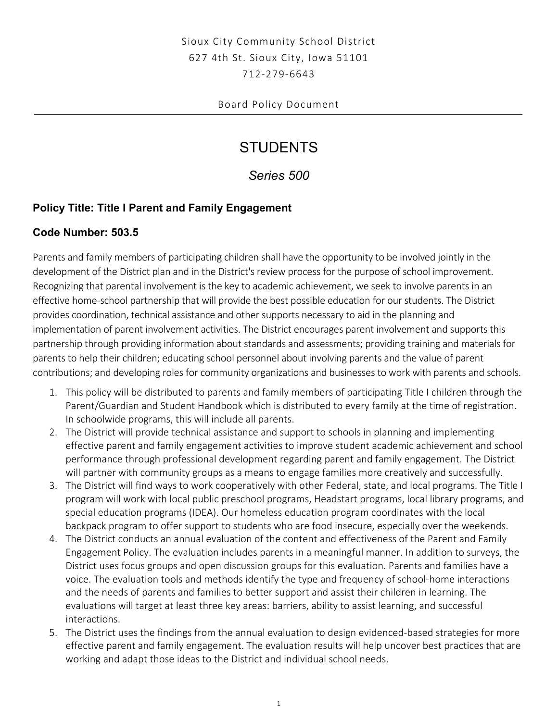# Sioux City Community School District 627 4th St. Sioux City, Iowa 51101 712-279-6643

### Board Policy Document

# **STUDENTS**

*Series 500* 

## **Policy Title: Title I Parent and Family Engagement**

#### **Code Number: 503.5**

 development of the District plan and in the District's review process for the purpose of school improvement. Recognizing that parental involvement is the key to academic achievement, we seek to involve parents in an effective home-school partnership that will provide the best possible education for our students. The District provides coordination, technical assistance and other supports necessary to aid in the planning and implementation of parent involvement activities. The District encourages parent involvement and supports this partnership through providing information about standards and assessments; providing training and materials for parents to help their children; educating school personnel about involving parents and the value of parent contributions; and developing roles for community organizations and businesses to work with parents and schools. Parents and family members of participating children shall have the opportunity to be involved jointly in the

- 1. This policy will be distributed to parents and family members of participating Title I children through the Parent/Guardian and Student Handbook which is distributed to every family at the time of registration. In schoolwide programs, this will include all parents.
- 2. The District will provide technical assistance and support to schools in planning and implementing effective parent and family engagement activities to improve student academic achievement and school performance through professional development regarding parent and family engagement. The District will partner with community groups as a means to engage families more creatively and successfully.
- 3. The District will find ways to work cooperatively with other Federal, state, and local programs. The Title I program will work with local public preschool programs, Headstart programs, local library programs, and special education programs (IDEA). Our homeless education program coordinates with the local backpack program to offer support to students who are food insecure, especially over the weekends.
- 4. The District conducts an annual evaluation of the content and effectiveness of the Parent and Family Engagement Policy. The evaluation includes parents in a meaningful manner. In addition to surveys, the District uses focus groups and open discussion groups for this evaluation. Parents and families have a voice. The evaluation tools and methods identify the type and frequency of school-home interactions and the needs of parents and families to better support and assist their children in learning. The evaluations will target at least three key areas: barriers, ability to assist learning, and successful interactions.
- 5. The District uses the findings from the annual evaluation to design evidenced-based strategies for more effective parent and family engagement. The evaluation results will help uncover best practices that are working and adapt those ideas to the District and individual school needs.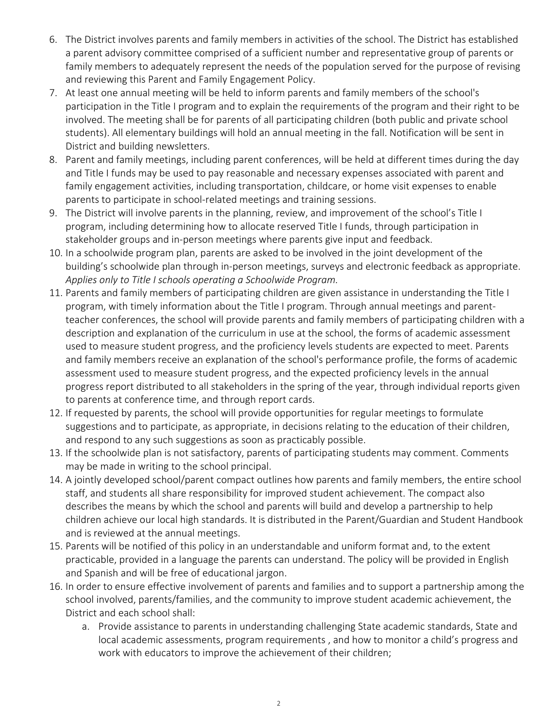- 6. The District involves parents and family members in activities of the school. The District has established a parent advisory committee comprised of a sufficient number and representative group of parents or family members to adequately represent the needs of the population served for the purpose of revising and reviewing this Parent and Family Engagement Policy.
- 7. At least one annual meeting will be held to inform parents and family members of the school's participation in the Title I program and to explain the requirements of the program and their right to be involved. The meeting shall be for parents of all participating children (both public and private school students). All elementary buildings will hold an annual meeting in the fall. Notification will be sent in District and building newsletters.
- 8. Parent and family meetings, including parent conferences, will be held at different times during the day and Title I funds may be used to pay reasonable and necessary expenses associated with parent and family engagement activities, including transportation, childcare, or home visit expenses to enable parents to participate in school-related meetings and training sessions.
- 9. The District will involve parents in the planning, review, and improvement of the school's Title I program, including determining how to allocate reserved Title I funds, through participation in stakeholder groups and in-person meetings where parents give input and feedback.
- 10. In a schoolwide program plan, parents are asked to be involved in the joint development of the building's schoolwide plan through in-person meetings, surveys and electronic feedback as appropriate. *Applies only to Title I schools operating a Schoolwide Program.*
- assessment used to measure student progress, and the expected proficiency levels in the annual 11. Parents and family members of participating children are given assistance in understanding the Title I program, with timely information about the Title I program. Through annual meetings and parentteacher conferences, the school will provide parents and family members of participating children with a description and explanation of the curriculum in use at the school, the forms of academic assessment used to measure student progress, and the proficiency levels students are expected to meet. Parents and family members receive an explanation of the school's performance profile, the forms of academic progress report distributed to all stakeholders in the spring of the year, through individual reports given to parents at conference time, and through report cards.
- and respond to any such suggestions as soon as practicably possible. 12. If requested by parents, the school will provide opportunities for regular meetings to formulate suggestions and to participate, as appropriate, in decisions relating to the education of their children,
- 13. If the schoolwide plan is not satisfactory, parents of participating students may comment. Comments may be made in writing to the school principal.
- 14. A jointly developed school/parent compact outlines how parents and family members, the entire school staff, and students all share responsibility for improved student achievement. The compact also describes the means by which the school and parents will build and develop a partnership to help children achieve our local high standards. It is distributed in the Parent/Guardian and Student Handbook and is reviewed at the annual meetings.
- 15. Parents will be notified of this policy in an understandable and uniform format and, to the extent practicable, provided in a language the parents can understand. The policy will be provided in English and Spanish and will be free of educational jargon.
- 16. In order to ensure effective involvement of parents and families and to support a partnership among the school involved, parents/families, and the community to improve student academic achievement, the District and each school shall:
	- a. Provide assistance to parents in understanding challenging State academic standards, State and local academic assessments, program requirements , and how to monitor a child's progress and work with educators to improve the achievement of their children;